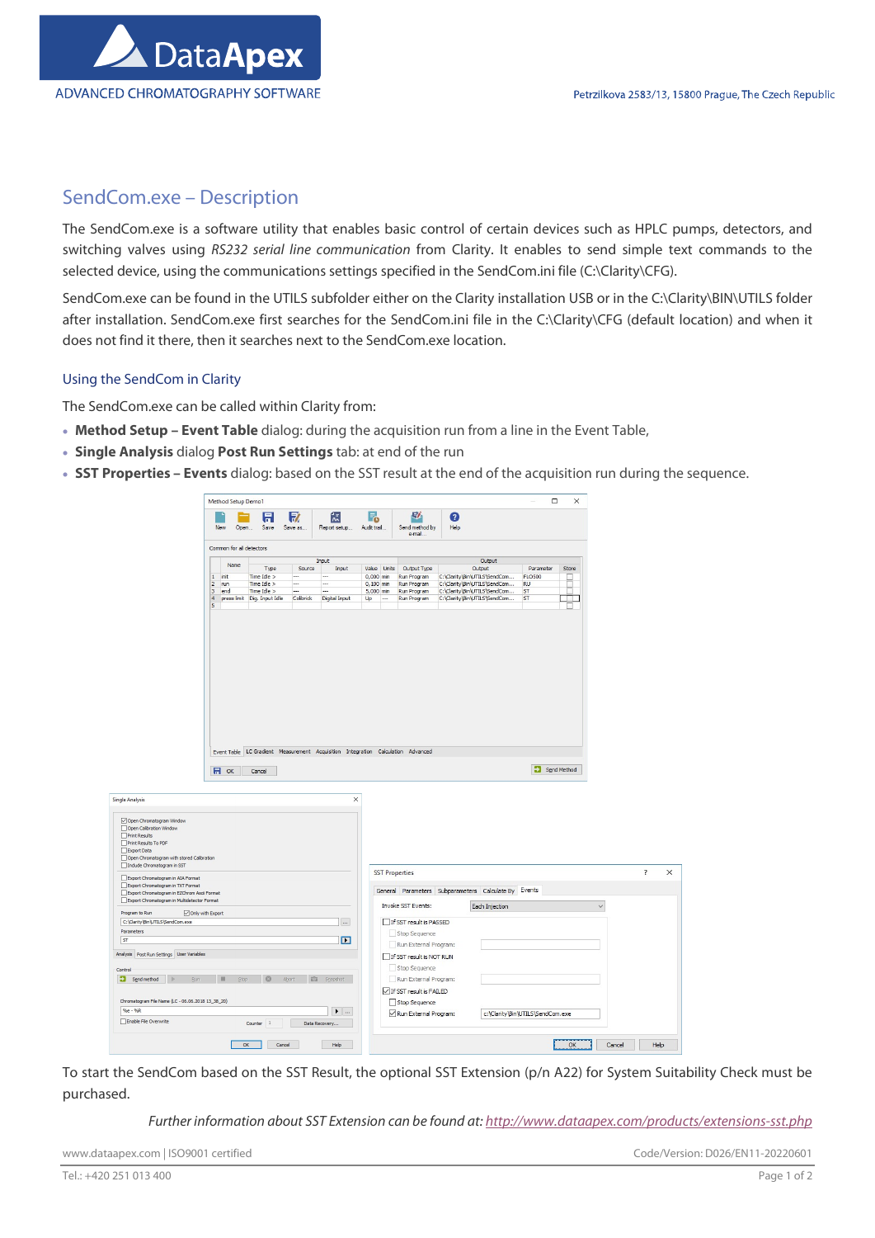

# SendCom.exe – Description

The SendCom.exe is a software utility that enables basic control of certain devices such as HPLC pumps, detectors, and switching valves using RS232 serial line communication from Clarity. It enables to send simple text commands to the selected device, using the communications settings specified in the SendCom.ini file (C:\Clarity\CFG).

SendCom.exe can be found in the UTILS subfolder either on the Clarity installation USB or in the C:\Clarity\BIN\UTILS folder after installation. SendCom.exe first searches for the SendCom.ini file in the C:\Clarity\CFG (default location) and when it does not find it there, then it searches next to the SendCom.exe location.

## Using the SendCom in Clarity

The SendCom.exe can be called within Clarity from:

- Method Setup Event Table dialog: during the acquisition run from a line in the Event Table,
- Single Analysis dialog Post Run Settings tab: at end of the run
- SST Properties Events dialog: based on the SST result at the end of the acquisition run during the sequence.

| 57<br>巨<br>숝<br>僵<br>F.<br>$\bullet$<br>Report setup Audit trail<br>Help<br>New<br>Open<br>Save<br>Save as<br>Send method by<br>e-mail<br>Common for all detectors<br>Output<br>Input<br>Name<br>Type<br>Source<br>Input<br>Value Units<br>Output Type<br>Output<br>Parameter<br>Store<br>$1$ init<br>Time Idle $>$<br>$0,000$ min<br>C:\Clarity\Bin\UTILS\SendCom<br><b>FLO500</b><br>Run Program<br>$\overline{\phantom{a}}$<br><br>$2$ run<br>$Time$ Idle $>$<br>$\overline{\phantom{a}}$<br>$0,100$ min<br>Run Program<br>C:\Clarity\Bin\UTILS\SendCom<br>RU<br>---<br>$\overline{3}$<br>end<br>Time Idle $>$<br>$\overline{a}$<br><br>5,000 min<br>Run Program<br>C:\Clarity\Bin\UTILS\SendCom<br>ST<br>$\overline{4}$<br>press limit Dig. Input Idle<br>Colibrick<br>Digital Input<br>Up<br>$\overline{\phantom{a}}$<br>Run Program<br>C:\Clarity\Bin\UTILS\SendCom<br>ST<br>$\Box$<br>5<br>Event Table LC Gradient Measurement Acquisition Integration Calculation Advanced<br>Send Method<br>$H$ ok<br>Cancel<br>$\times$<br>Open Chromatogram with stored Calibration<br>$\overline{?}$<br>$\times$<br><b>SST Properties</b><br>General Parameters Subparameters Calculate By Events<br>Export Chromatogram in EZChrom Asci Format<br>Export Chromatogram in Multidetector Format<br>Invoke SST Events:<br>Each Injection<br>$\checkmark$<br>Only with Export<br>$\ldots$<br>If SST result is PASSED<br>Stop Sequence<br>$\blacksquare$<br>Run External Program:<br>Analysis Post Run Settings User Variables<br>If SST result is NOT RUN<br>Stop Sequence<br>$\mathbb{R}$<br>$\circ$<br>Abort<br>illi Sgapshot<br>Run External Program:<br>Rum<br>Stop<br>If SST result is FAILED<br>Chromatogram File Name (LC - 06.06.2018 13_38_20)<br>Stop Sequence<br>$%e - %R$<br>$\blacktriangleright$<br>Run External Program:<br>c:\Clarity\Bin\UTILS\SendCom.exe<br>Enable File Overwrite<br>Counter 1<br>Data Recovery |                                                                                                                                                                                                                                                                                                                                                          | Method Setup Demo1 |  |  |  | $\Box$ | $\times$ |  |  |
|-----------------------------------------------------------------------------------------------------------------------------------------------------------------------------------------------------------------------------------------------------------------------------------------------------------------------------------------------------------------------------------------------------------------------------------------------------------------------------------------------------------------------------------------------------------------------------------------------------------------------------------------------------------------------------------------------------------------------------------------------------------------------------------------------------------------------------------------------------------------------------------------------------------------------------------------------------------------------------------------------------------------------------------------------------------------------------------------------------------------------------------------------------------------------------------------------------------------------------------------------------------------------------------------------------------------------------------------------------------------------------------------------------------------------------------------------------------------------------------------------------------------------------------------------------------------------------------------------------------------------------------------------------------------------------------------------------------------------------------------------------------------------------------------------------------------------------------------------------------------------------------------------------------------------------|----------------------------------------------------------------------------------------------------------------------------------------------------------------------------------------------------------------------------------------------------------------------------------------------------------------------------------------------------------|--------------------|--|--|--|--------|----------|--|--|
|                                                                                                                                                                                                                                                                                                                                                                                                                                                                                                                                                                                                                                                                                                                                                                                                                                                                                                                                                                                                                                                                                                                                                                                                                                                                                                                                                                                                                                                                                                                                                                                                                                                                                                                                                                                                                                                                                                                             |                                                                                                                                                                                                                                                                                                                                                          |                    |  |  |  |        |          |  |  |
|                                                                                                                                                                                                                                                                                                                                                                                                                                                                                                                                                                                                                                                                                                                                                                                                                                                                                                                                                                                                                                                                                                                                                                                                                                                                                                                                                                                                                                                                                                                                                                                                                                                                                                                                                                                                                                                                                                                             |                                                                                                                                                                                                                                                                                                                                                          |                    |  |  |  |        |          |  |  |
|                                                                                                                                                                                                                                                                                                                                                                                                                                                                                                                                                                                                                                                                                                                                                                                                                                                                                                                                                                                                                                                                                                                                                                                                                                                                                                                                                                                                                                                                                                                                                                                                                                                                                                                                                                                                                                                                                                                             |                                                                                                                                                                                                                                                                                                                                                          |                    |  |  |  |        |          |  |  |
|                                                                                                                                                                                                                                                                                                                                                                                                                                                                                                                                                                                                                                                                                                                                                                                                                                                                                                                                                                                                                                                                                                                                                                                                                                                                                                                                                                                                                                                                                                                                                                                                                                                                                                                                                                                                                                                                                                                             |                                                                                                                                                                                                                                                                                                                                                          |                    |  |  |  |        |          |  |  |
|                                                                                                                                                                                                                                                                                                                                                                                                                                                                                                                                                                                                                                                                                                                                                                                                                                                                                                                                                                                                                                                                                                                                                                                                                                                                                                                                                                                                                                                                                                                                                                                                                                                                                                                                                                                                                                                                                                                             |                                                                                                                                                                                                                                                                                                                                                          |                    |  |  |  |        |          |  |  |
|                                                                                                                                                                                                                                                                                                                                                                                                                                                                                                                                                                                                                                                                                                                                                                                                                                                                                                                                                                                                                                                                                                                                                                                                                                                                                                                                                                                                                                                                                                                                                                                                                                                                                                                                                                                                                                                                                                                             |                                                                                                                                                                                                                                                                                                                                                          |                    |  |  |  |        |          |  |  |
|                                                                                                                                                                                                                                                                                                                                                                                                                                                                                                                                                                                                                                                                                                                                                                                                                                                                                                                                                                                                                                                                                                                                                                                                                                                                                                                                                                                                                                                                                                                                                                                                                                                                                                                                                                                                                                                                                                                             |                                                                                                                                                                                                                                                                                                                                                          |                    |  |  |  |        |          |  |  |
|                                                                                                                                                                                                                                                                                                                                                                                                                                                                                                                                                                                                                                                                                                                                                                                                                                                                                                                                                                                                                                                                                                                                                                                                                                                                                                                                                                                                                                                                                                                                                                                                                                                                                                                                                                                                                                                                                                                             |                                                                                                                                                                                                                                                                                                                                                          |                    |  |  |  |        |          |  |  |
|                                                                                                                                                                                                                                                                                                                                                                                                                                                                                                                                                                                                                                                                                                                                                                                                                                                                                                                                                                                                                                                                                                                                                                                                                                                                                                                                                                                                                                                                                                                                                                                                                                                                                                                                                                                                                                                                                                                             |                                                                                                                                                                                                                                                                                                                                                          |                    |  |  |  |        |          |  |  |
|                                                                                                                                                                                                                                                                                                                                                                                                                                                                                                                                                                                                                                                                                                                                                                                                                                                                                                                                                                                                                                                                                                                                                                                                                                                                                                                                                                                                                                                                                                                                                                                                                                                                                                                                                                                                                                                                                                                             |                                                                                                                                                                                                                                                                                                                                                          |                    |  |  |  |        |          |  |  |
|                                                                                                                                                                                                                                                                                                                                                                                                                                                                                                                                                                                                                                                                                                                                                                                                                                                                                                                                                                                                                                                                                                                                                                                                                                                                                                                                                                                                                                                                                                                                                                                                                                                                                                                                                                                                                                                                                                                             |                                                                                                                                                                                                                                                                                                                                                          |                    |  |  |  |        |          |  |  |
|                                                                                                                                                                                                                                                                                                                                                                                                                                                                                                                                                                                                                                                                                                                                                                                                                                                                                                                                                                                                                                                                                                                                                                                                                                                                                                                                                                                                                                                                                                                                                                                                                                                                                                                                                                                                                                                                                                                             |                                                                                                                                                                                                                                                                                                                                                          |                    |  |  |  |        |          |  |  |
|                                                                                                                                                                                                                                                                                                                                                                                                                                                                                                                                                                                                                                                                                                                                                                                                                                                                                                                                                                                                                                                                                                                                                                                                                                                                                                                                                                                                                                                                                                                                                                                                                                                                                                                                                                                                                                                                                                                             |                                                                                                                                                                                                                                                                                                                                                          |                    |  |  |  |        |          |  |  |
|                                                                                                                                                                                                                                                                                                                                                                                                                                                                                                                                                                                                                                                                                                                                                                                                                                                                                                                                                                                                                                                                                                                                                                                                                                                                                                                                                                                                                                                                                                                                                                                                                                                                                                                                                                                                                                                                                                                             |                                                                                                                                                                                                                                                                                                                                                          |                    |  |  |  |        |          |  |  |
|                                                                                                                                                                                                                                                                                                                                                                                                                                                                                                                                                                                                                                                                                                                                                                                                                                                                                                                                                                                                                                                                                                                                                                                                                                                                                                                                                                                                                                                                                                                                                                                                                                                                                                                                                                                                                                                                                                                             |                                                                                                                                                                                                                                                                                                                                                          |                    |  |  |  |        |          |  |  |
|                                                                                                                                                                                                                                                                                                                                                                                                                                                                                                                                                                                                                                                                                                                                                                                                                                                                                                                                                                                                                                                                                                                                                                                                                                                                                                                                                                                                                                                                                                                                                                                                                                                                                                                                                                                                                                                                                                                             |                                                                                                                                                                                                                                                                                                                                                          |                    |  |  |  |        |          |  |  |
|                                                                                                                                                                                                                                                                                                                                                                                                                                                                                                                                                                                                                                                                                                                                                                                                                                                                                                                                                                                                                                                                                                                                                                                                                                                                                                                                                                                                                                                                                                                                                                                                                                                                                                                                                                                                                                                                                                                             |                                                                                                                                                                                                                                                                                                                                                          |                    |  |  |  |        |          |  |  |
|                                                                                                                                                                                                                                                                                                                                                                                                                                                                                                                                                                                                                                                                                                                                                                                                                                                                                                                                                                                                                                                                                                                                                                                                                                                                                                                                                                                                                                                                                                                                                                                                                                                                                                                                                                                                                                                                                                                             |                                                                                                                                                                                                                                                                                                                                                          |                    |  |  |  |        |          |  |  |
|                                                                                                                                                                                                                                                                                                                                                                                                                                                                                                                                                                                                                                                                                                                                                                                                                                                                                                                                                                                                                                                                                                                                                                                                                                                                                                                                                                                                                                                                                                                                                                                                                                                                                                                                                                                                                                                                                                                             |                                                                                                                                                                                                                                                                                                                                                          |                    |  |  |  |        |          |  |  |
|                                                                                                                                                                                                                                                                                                                                                                                                                                                                                                                                                                                                                                                                                                                                                                                                                                                                                                                                                                                                                                                                                                                                                                                                                                                                                                                                                                                                                                                                                                                                                                                                                                                                                                                                                                                                                                                                                                                             |                                                                                                                                                                                                                                                                                                                                                          |                    |  |  |  |        |          |  |  |
|                                                                                                                                                                                                                                                                                                                                                                                                                                                                                                                                                                                                                                                                                                                                                                                                                                                                                                                                                                                                                                                                                                                                                                                                                                                                                                                                                                                                                                                                                                                                                                                                                                                                                                                                                                                                                                                                                                                             |                                                                                                                                                                                                                                                                                                                                                          |                    |  |  |  |        |          |  |  |
|                                                                                                                                                                                                                                                                                                                                                                                                                                                                                                                                                                                                                                                                                                                                                                                                                                                                                                                                                                                                                                                                                                                                                                                                                                                                                                                                                                                                                                                                                                                                                                                                                                                                                                                                                                                                                                                                                                                             |                                                                                                                                                                                                                                                                                                                                                          |                    |  |  |  |        |          |  |  |
|                                                                                                                                                                                                                                                                                                                                                                                                                                                                                                                                                                                                                                                                                                                                                                                                                                                                                                                                                                                                                                                                                                                                                                                                                                                                                                                                                                                                                                                                                                                                                                                                                                                                                                                                                                                                                                                                                                                             |                                                                                                                                                                                                                                                                                                                                                          |                    |  |  |  |        |          |  |  |
|                                                                                                                                                                                                                                                                                                                                                                                                                                                                                                                                                                                                                                                                                                                                                                                                                                                                                                                                                                                                                                                                                                                                                                                                                                                                                                                                                                                                                                                                                                                                                                                                                                                                                                                                                                                                                                                                                                                             |                                                                                                                                                                                                                                                                                                                                                          |                    |  |  |  |        |          |  |  |
|                                                                                                                                                                                                                                                                                                                                                                                                                                                                                                                                                                                                                                                                                                                                                                                                                                                                                                                                                                                                                                                                                                                                                                                                                                                                                                                                                                                                                                                                                                                                                                                                                                                                                                                                                                                                                                                                                                                             |                                                                                                                                                                                                                                                                                                                                                          |                    |  |  |  |        |          |  |  |
|                                                                                                                                                                                                                                                                                                                                                                                                                                                                                                                                                                                                                                                                                                                                                                                                                                                                                                                                                                                                                                                                                                                                                                                                                                                                                                                                                                                                                                                                                                                                                                                                                                                                                                                                                                                                                                                                                                                             |                                                                                                                                                                                                                                                                                                                                                          |                    |  |  |  |        |          |  |  |
|                                                                                                                                                                                                                                                                                                                                                                                                                                                                                                                                                                                                                                                                                                                                                                                                                                                                                                                                                                                                                                                                                                                                                                                                                                                                                                                                                                                                                                                                                                                                                                                                                                                                                                                                                                                                                                                                                                                             | <b>Single Analysis</b><br>Open Chromatogram Window<br>Open Calibration Window<br>Print Results<br>Print Results To PDF<br>$\Box$ Export Data<br>Indude Chromatogram in SST<br>Export Chromatogram in AIA Format<br>Export Chromatogram in TXT Format<br>Program to Run<br>C:\Clarity\Bin\UTILS\SendCom.exe<br>Parameters<br>ST<br>Control<br>Send method |                    |  |  |  |        |          |  |  |
|                                                                                                                                                                                                                                                                                                                                                                                                                                                                                                                                                                                                                                                                                                                                                                                                                                                                                                                                                                                                                                                                                                                                                                                                                                                                                                                                                                                                                                                                                                                                                                                                                                                                                                                                                                                                                                                                                                                             |                                                                                                                                                                                                                                                                                                                                                          |                    |  |  |  |        |          |  |  |

To start the SendCom based on the SST Result, the optional SST Extension (p/n A22) for System Suitability Check must be purchased.

Further information about SST Extension can be found at: http://www.dataapex.com/products/extensions-sst.php

www.dataapex.com | ISO9001 certified Code/Version: D026/EN11-20220601